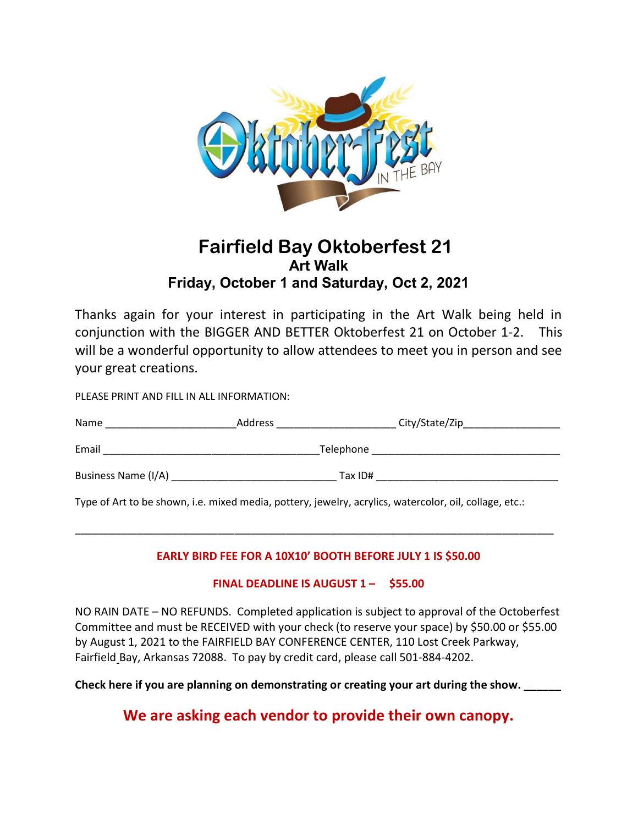

## Fairfield Bay Oktoberfest 21 Art Walk Friday, October 1 and Saturday, Oct 2, 2021

Thanks again for your interest in participating in the Art Walk being held in conjunction with the BIGGER AND BETTER Oktoberfest 21 on October 1-2. This will be a wonderful opportunity to allow attendees to meet you in person and see your great creations.

PLEASE PRINT AND FILL IN ALL INFORMATION:

| Name                | Address   | City/State/Zip |
|---------------------|-----------|----------------|
| Email               | Telephone |                |
| Business Name (I/A) | Tax ID#   |                |

Type of Art to be shown, i.e. mixed media, pottery, jewelry, acrylics, watercolor, oil, collage, etc.:

## EARLY BIRD FEE FOR A 10X10' BOOTH BEFORE JULY 1 IS \$50.00

\_\_\_\_\_\_\_\_\_\_\_\_\_\_\_\_\_\_\_\_\_\_\_\_\_\_\_\_\_\_\_\_\_\_\_\_\_\_\_\_\_\_\_\_\_\_\_\_\_\_\_\_\_\_\_\_\_\_\_\_\_\_\_\_\_\_\_\_\_\_\_\_\_\_\_\_\_\_\_\_\_\_\_\_

## FINAL DEADLINE IS AUGUST 1 – \$55.00

NO RAIN DATE – NO REFUNDS. Completed application is subject to approval of the Octoberfest Committee and must be RECEIVED with your check (to reserve your space) by \$50.00 or \$55.00 by August 1, 2021 to the FAIRFIELD BAY CONFERENCE CENTER, 110 Lost Creek Parkway, Fairfield Bay, Arkansas 72088. To pay by credit card, please call 501-884-4202.

Check here if you are planning on demonstrating or creating your art during the show.

We are asking each vendor to provide their own canopy.